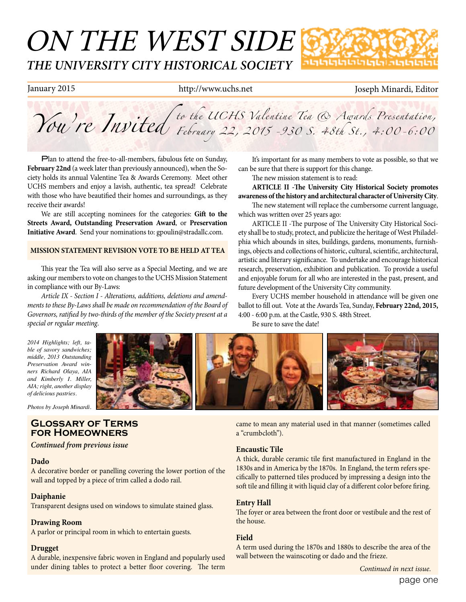# ON THE WEST SIDE *THE UNIVERSITY CITY HISTORICAL SOCIETY* տտտտաստա

### January 2015 http://www.uchs.net Joseph Minardi, Editor

*You're Invited to the UCHS Valentine Tea & Awards Presentation, February 22, 2015 -930 S. 48th St., 4:00-6:00*

Plan to attend the free-to-all-members, fabulous fete on Sunday, **February 22nd** (a week later than previously announced), when the Society holds its annual Valentine Tea & Awards Ceremony. Meet other UCHS members and enjoy a lavish, authentic, tea spread! Celebrate with those who have beautified their homes and surroundings, as they receive their awards!

We are still accepting nominees for the categories: **Gift to the Streets Award, Outstanding Preservation Award**, or **Preservation Initiative Award**. Send your nominations to: gpoulin@stradallc.com.

### **MISSION STATEMENT REVISION VOTE TO BE HELD AT TEA**

This year the Tea will also serve as a Special Meeting, and we are asking our members to vote on changes to the UCHS Mission Statement in compliance with our By-Laws:

*Article IX - Section I - Alterations, additions, deletions and amendments to these By-Laws shall be made on recommendation of the Board of Governors, ratified by two-thirds of the member of the Society present at a special or regular meeting*.

*2014 Highlights; left, table of savory sandwiches; middle, 2013 Outstanding Preservation Award winners Richard Olaya, AIA and Kimberly I. Miller, AIA; right, another display of delicious pastries.* 

*Photos by Joseph Minardi.*

## **Glossary of Terms for Homeowners**

*Continued from previous issue*

#### **Dado**

A decorative border or panelling covering the lower portion of the wall and topped by a piece of trim called a dodo rail.

#### **Daiphanie**

Transparent designs used on windows to simulate stained glass.

#### **Drawing Room**

A parlor or principal room in which to entertain guests.

#### **Drugget**

A durable, inexpensive fabric woven in England and popularly used under dining tables to protect a better floor covering. The term

It's important for as many members to vote as possible, so that we can be sure that there is support for this change.

The new mission statement is to read:

**ARTICLE II -The University City Historical Society promotes awareness of the history and architectural character of University City**.

The new statement will replace the cumbersome current language, which was written over 25 years ago:

ARTICLE II -The purpose of The University City Historical Society shall be to study, protect, and publicize the heritage of West Philadelphia which abounds in sites, buildings, gardens, monuments, furnishings, objects and collections of historic, cultural, scientific, architectural, artistic and literary significance. To undertake and encourage historical research, preservation, exhibition and publication. To provide a useful and enjoyable forum for all who are interested in the past, present, and future development of the University City community.

Every UCHS member household in attendance will be given one ballot to fill out. Vote at the Awards Tea, Sunday, **February 22nd, 2015,**  4:00 - 6:00 p.m. at the Castle, 930 S. 48th Street.

Be sure to save the date!



came to mean any material used in that manner (sometimes called a "crumbcloth").

#### **Encaustic Tile**

A thick, durable ceramic tile first manufactured in England in the 1830s and in America by the 1870s. In England, the term refers specifically to patterned tiles produced by impressing a design into the soft tile and filling it with liquid clay of a different color before firing.

#### **Entry Hall**

The foyer or area between the front door or vestibule and the rest of the house.

#### **Field**

A term used during the 1870s and 1880s to describe the area of the wall between the wainscoting or dado and the frieze.

*Continued in next issue.*